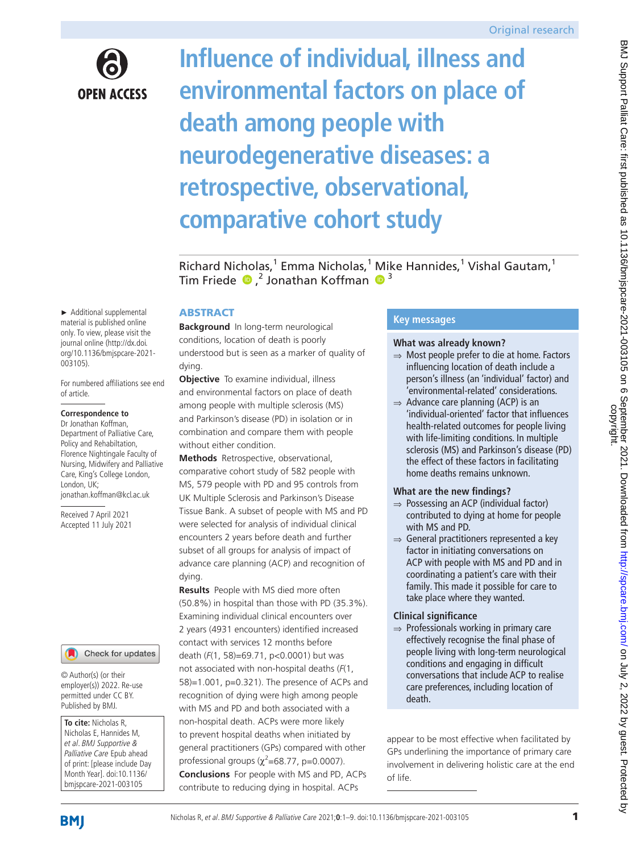

# **Influence of individual, illness and environmental factors on place of death among people with neurodegenerative diseases: a retrospective, observational, comparative cohort study**

BMJ Support Palliat Care: first published as 10.1136/bmjspcare-2021-003105 on 6 September 2021. Downloaded from http://spcare.bmj.com/ on July 2, 2022 by guest. Protected by<br>copyright. BMJ Support Palliat Care: first published as 10.1136/bmjspcare-2021-003105 on 6 September 2021. Downloaded from <http://spcare.bmj.com/> on July 2, 2022 by guest. Protected by

Richard Nicholas,<sup>1</sup> Emma Nicholas,<sup>1</sup> Mike Hannides,<sup>1</sup> Vishal Gautam,<sup>1</sup> TimFriede <sup>®</sup>,<sup>2</sup> Jonathan Koffman <sup>®</sup>

## **ABSTRACT**

**Background** In long-term neurological conditions, location of death is poorly understood but is seen as a marker of quality of dying.

**Objective** To examine individual, illness and environmental factors on place of death among people with multiple sclerosis (MS) and Parkinson's disease (PD) in isolation or in combination and compare them with people without either condition.

**Methods** Retrospective, observational, comparative cohort study of 582 people with MS, 579 people with PD and 95 controls from UK Multiple Sclerosis and Parkinson's Disease Tissue Bank. A subset of people with MS and PD were selected for analysis of individual clinical encounters 2 years before death and further subset of all groups for analysis of impact of advance care planning (ACP) and recognition of dying.

**Results** People with MS died more often (50.8%) in hospital than those with PD (35.3%). Examining individual clinical encounters over 2 years (4931 encounters) identified increased contact with services 12 months before death (*F*(1, 58)=69.71, p<0.0001) but was not associated with non-hospital deaths (*F*(1, 58)=1.001, p=0.321). The presence of ACPs and recognition of dying were high among people with MS and PD and both associated with a non-hospital death. ACPs were more likely to prevent hospital deaths when initiated by general practitioners (GPs) compared with other professional groups ( $\chi^2$ =68.77, p=0.0007). **Conclusions** For people with MS and PD, ACPs contribute to reducing dying in hospital. ACPs

## **Key messages**

#### **What was already known?**

- ⇒ Most people prefer to die at home. Factors influencing location of death include a person's illness (an 'individual' factor) and 'environmental-related' considerations.
- $\Rightarrow$  Advance care planning (ACP) is an 'individual-oriented' factor that influences health-related outcomes for people living with life-limiting conditions. In multiple sclerosis (MS) and Parkinson's disease (PD) the effect of these factors in facilitating home deaths remains unknown.

## **What are the new findings?**

- ⇒ Possessing an ACP (individual factor) contributed to dying at home for people with MS and PD.
- ⇒ General practitioners represented a key factor in initiating conversations on ACP with people with MS and PD and in coordinating a patient's care with their family. This made it possible for care to take place where they wanted.

## **Clinical significance**

⇒ Professionals working in primary care effectively recognise the final phase of people living with long-term neurological conditions and engaging in difficult conversations that include ACP to realise care preferences, including location of death.

appear to be most effective when facilitated by GPs underlining the importance of primary care involvement in delivering holistic care at the end of life.

► Additional supplemental material is published online only. To view, please visit the journal online [\(http://dx.doi.](http://dx.doi.org/10.1136/bmjspcare-2021-003105) [org/10.1136/bmjspcare-2021-](http://dx.doi.org/10.1136/bmjspcare-2021-003105) [003105\)](http://dx.doi.org/10.1136/bmjspcare-2021-003105).

For numbered affiliations see end of article.

#### **Correspondence to**

Dr Jonathan Koffman, Department of Palliative Care, Policy and Rehabiltation, Florence Nightingale Faculty of Nursing, Midwifery and Palliative Care, King's College London, London, UK; jonathan.koffman@kcl.ac.uk

Received 7 April 2021 Accepted 11 July 2021

## Check for updates

© Author(s) (or their employer(s)) 2022. Re-use permitted under CC BY. Published by BMJ.

**To cite:** Nicholas R, Nicholas E, Hannides M, et al. BMJ Supportive & Palliative Care Epub ahead of print: [please include Day Month Year]. doi:10.1136/ bmjspcare-2021-003105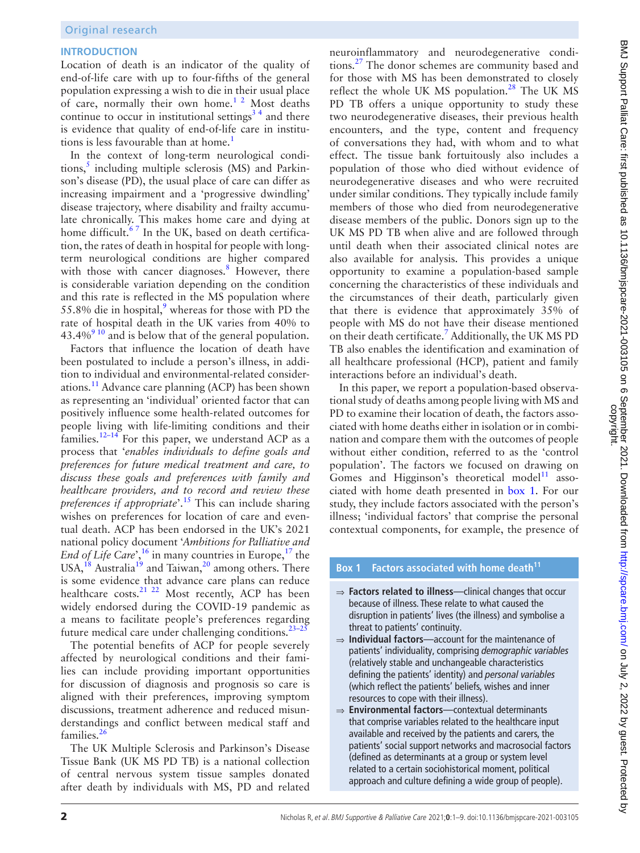## **INTRODUCTION**

Location of death is an indicator of the quality of end-of-life care with up to four-fifths of the general population expressing a wish to die in their usual place of care, normally their own home.[1 2](#page-7-0) Most deaths continue to occur in institutional settings<sup>34</sup> and there is evidence that quality of end-of-life care in institutions is less favourable than at home.<sup>1</sup>

In the context of long-term neurological condi-tions,<sup>[5](#page-7-2)</sup> including multiple sclerosis (MS) and Parkinson's disease (PD), the usual place of care can differ as increasing impairment and a 'progressive dwindling' disease trajectory, where disability and frailty accumulate chronically. This makes home care and dying at home difficult. $67$  In the UK, based on death certification, the rates of death in hospital for people with longterm neurological conditions are higher compared with those with cancer diagnoses.<sup>8</sup> However, there is considerable variation depending on the condition and this rate is reflected in the MS population where 55.8% die in hospital, $9$  whereas for those with PD the rate of hospital death in the UK varies from 40% to  $43.4\%$ <sup>9 10</sup> and is below that of the general population.

Factors that influence the location of death have been postulated to include a person's illness, in addition to individual and environmental-related considerations.[11](#page-7-6) Advance care planning (ACP) has been shown as representing an 'individual' oriented factor that can positively influence some health-related outcomes for people living with life-limiting conditions and their families.<sup>12-14</sup> For this paper, we understand ACP as a process that '*enables individuals to define goals and preferences for future medical treatment and care, to discuss these goals and preferences with family and healthcare providers, and to record and review these preferences if appropriate*'.[15](#page-7-8) This can include sharing wishes on preferences for location of care and eventual death. ACP has been endorsed in the UK's 2021 national policy document '*Ambitions for Palliative and End of Life Care*',<sup>16</sup> in many countries in Europe,<sup>[17](#page-7-10)</sup> the USA, $^{18}$  $^{18}$  $^{18}$  Australia<sup>19</sup> and Taiwan, $^{20}$  among others. There is some evidence that advance care plans can reduce healthcare costs.<sup>[21 22](#page-7-14)</sup> Most recently, ACP has been widely endorsed during the COVID-19 pandemic as a means to facilitate people's preferences regarding future medical care under challenging conditions. $23-25$ 

The potential benefits of ACP for people severely affected by neurological conditions and their families can include providing important opportunities for discussion of diagnosis and prognosis so care is aligned with their preferences, improving symptom discussions, treatment adherence and reduced misunderstandings and conflict between medical staff and families[.26](#page-7-16)

The UK Multiple Sclerosis and Parkinson's Disease Tissue Bank (UK MS PD TB) is a national collection of central nervous system tissue samples donated after death by individuals with MS, PD and related

neuroinflammatory and neurodegenerative conditions.<sup>27</sup> The donor schemes are community based and for those with MS has been demonstrated to closely reflect the whole UK MS population.<sup>[28](#page-7-18)</sup> The UK MS PD TB offers a unique opportunity to study these two neurodegenerative diseases, their previous health encounters, and the type, content and frequency of conversations they had, with whom and to what effect. The tissue bank fortuitously also includes a population of those who died without evidence of neurodegenerative diseases and who were recruited under similar conditions. They typically include family members of those who died from neurodegenerative disease members of the public. Donors sign up to the UK MS PD TB when alive and are followed through until death when their associated clinical notes are also available for analysis. This provides a unique opportunity to examine a population-based sample concerning the characteristics of these individuals and the circumstances of their death, particularly given that there is evidence that approximately 35% of people with MS do not have their disease mentioned on their death certificate.<sup>[7](#page-7-19)</sup> Additionally, the UK MS PD TB also enables the identification and examination of all healthcare professional (HCP), patient and family interactions before an individual's death.

In this paper, we report a population-based observational study of deaths among people living with MS and PD to examine their location of death, the factors associated with home deaths either in isolation or in combination and compare them with the outcomes of people without either condition, referred to as the 'control population'. The factors we focused on drawing on Gomes and Higginson's theoretical model $11$  associated with home death presented in [box](#page-1-0) 1. For our study, they include factors associated with the person's illness; 'individual factors' that comprise the personal contextual components, for example, the presence of

## **Box 1 Factors associated with home death[11](#page-7-6)**

- <span id="page-1-0"></span>⇒ **Factors related to illness**—clinical changes that occur because of illness. These relate to what caused the disruption in patients' lives (the illness) and symbolise a threat to patients' continuity.
- ⇒ **Individual factors**—account for the maintenance of patients' individuality, comprising *demographic variables* (relatively stable and unchangeable characteristics defining the patients' identity) and *personal variables* (which reflect the patients' beliefs, wishes and inner resources to cope with their illness).
- ⇒ **Environmental factors**—contextual determinants that comprise variables related to the healthcare input available and received by the patients and carers, the patients' social support networks and macrosocial factors (defined as determinants at a group or system level related to a certain sociohistorical moment, political approach and culture defining a wide group of people).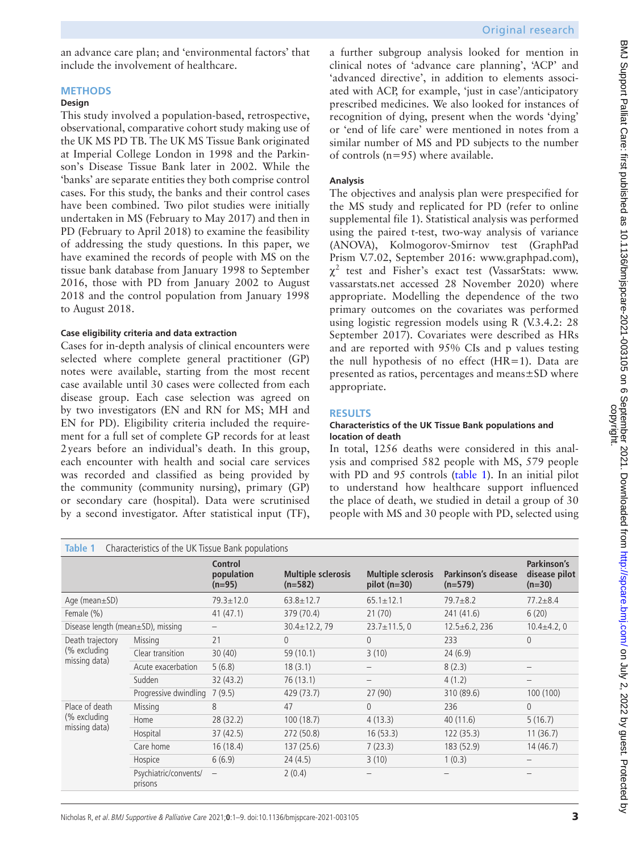an advance care plan; and 'environmental factors' that include the involvement of healthcare.

#### **METHODS**

#### **Design**

This study involved a population-based, retrospective, observational, comparative cohort study making use of the UK MS PD TB. The UK MS Tissue Bank originated at Imperial College London in 1998 and the Parkinson's Disease Tissue Bank later in 2002. While the 'banks' are separate entities they both comprise control cases. For this study, the banks and their control cases have been combined. Two pilot studies were initially undertaken in MS (February to May 2017) and then in PD (February to April 2018) to examine the feasibility of addressing the study questions. In this paper, we have examined the records of people with MS on the tissue bank database from January 1998 to September 2016, those with PD from January 2002 to August 2018 and the control population from January 1998 to August 2018.

#### **Case eligibility criteria and data extraction**

Cases for in-depth analysis of clinical encounters were selected where complete general practitioner (GP) notes were available, starting from the most recent case available until 30 cases were collected from each disease group. Each case selection was agreed on by two investigators (EN and RN for MS; MH and EN for PD). Eligibility criteria included the requirement for a full set of complete GP records for at least 2years before an individual's death. In this group, each encounter with health and social care services was recorded and classified as being provided by the community (community nursing), primary (GP) or secondary care (hospital). Data were scrutinised by a second investigator. After statistical input (TF),

a further subgroup analysis looked for mention in clinical notes of 'advance care planning', 'ACP' and 'advanced directive', in addition to elements associated with ACP, for example, 'just in case'/anticipatory prescribed medicines. We also looked for instances of recognition of dying, present when the words 'dying' or 'end of life care' were mentioned in notes from a similar number of MS and PD subjects to the number of controls (n=95) where available.

#### **Analysis**

The objectives and analysis plan were prespecified for the MS study and replicated for PD (refer to [online](https://dx.doi.org/10.1136/bmjspcare-2021-003105)  [supplemental file 1\)](https://dx.doi.org/10.1136/bmjspcare-2021-003105). Statistical analysis was performed using the paired t-test, two-way analysis of variance (ANOVA), Kolmogorov-Smirnov test (GraphPad Prism V.7.02, September 2016: [www.graphpad.com\)](www.graphpad.com),  $\chi^2$  test and Fisher's exact test (VassarStats: [www.](www.vassarstats.net) [vassarstats.net](www.vassarstats.net) accessed 28 November 2020) where appropriate. Modelling the dependence of the two primary outcomes on the covariates was performed using logistic regression models using R (V.3.4.2: 28 September 2017). Covariates were described as HRs and are reported with 95% CIs and p values testing the null hypothesis of no effect (HR=1). Data are presented as ratios, percentages and means±SD where appropriate.

#### **RESULTS**

#### **Characteristics of the UK Tissue Bank populations and location of death**

In total, 1256 deaths were considered in this analysis and comprised 582 people with MS, 579 people with PD and 95 controls ([table](#page-2-0) 1). In an initial pilot to understand how healthcare support influenced the place of death, we studied in detail a group of 30 people with MS and 30 people with PD, selected using

<span id="page-2-0"></span>

| Characteristics of the UK Tissue Bank populations<br>Table 1 |                                  |                                          |                                        |                                             |                                  |                                          |  |
|--------------------------------------------------------------|----------------------------------|------------------------------------------|----------------------------------------|---------------------------------------------|----------------------------------|------------------------------------------|--|
|                                                              |                                  | <b>Control</b><br>population<br>$(n=95)$ | <b>Multiple sclerosis</b><br>$(n=582)$ | <b>Multiple sclerosis</b><br>$pilot (n=30)$ | Parkinson's disease<br>$(n=579)$ | Parkinson's<br>disease pilot<br>$(n=30)$ |  |
| Age (mean $\pm$ SD)                                          |                                  | $79.3 \pm 12.0$                          | $63.8 \pm 12.7$                        | $65.1 \pm 12.1$                             | $79.7 + 8.2$                     | $77.2 \pm 8.4$                           |  |
| Female (%)                                                   |                                  | 41(47.1)                                 | 379 (70.4)                             | 21(70)                                      | 241 (41.6)                       | 6(20)                                    |  |
| Disease length (mean $\pm$ SD), missing                      |                                  |                                          | $30.4 \pm 12.2, 79$                    | $23.7 \pm 11.5, 0$                          | $12.5 \pm 6.2$ , 236             | $10.4 \pm 4.2, 0$                        |  |
| Death trajectory<br>(% excluding<br>missing data)            | Missing                          | 21                                       | 0                                      | $\theta$                                    | 233                              | $\Omega$                                 |  |
|                                                              | Clear transition                 | 30(40)                                   | 59 (10.1)                              | 3(10)                                       | 24(6.9)                          |                                          |  |
|                                                              | Acute exacerbation               | 5(6.8)                                   | 18(3.1)                                |                                             | 8(2.3)                           |                                          |  |
|                                                              | Sudden                           | 32(43.2)                                 | 76 (13.1)                              |                                             | 4(1.2)                           |                                          |  |
|                                                              | Progressive dwindling            | 7(9.5)                                   | 429 (73.7)                             | 27(90)                                      | 310 (89.6)                       | 100 (100)                                |  |
| Place of death<br>(% excluding<br>missing data)              | Missing                          | 8                                        | 47                                     | $\Omega$                                    | 236                              | $\overline{0}$                           |  |
|                                                              | Home                             | 28 (32.2)                                | 100(18.7)                              | 4(13.3)                                     | 40(11.6)                         | 5(16.7)                                  |  |
|                                                              | Hospital                         | 37(42.5)                                 | 272 (50.8)                             | 16(53.3)                                    | 122(35.3)                        | 11(36.7)                                 |  |
|                                                              | Care home                        | 16(18.4)                                 | 137(25.6)                              | 7(23.3)                                     | 183 (52.9)                       | 14(46.7)                                 |  |
|                                                              | Hospice                          | 6(6.9)                                   | 24(4.5)                                | 3(10)                                       | 1(0.3)                           |                                          |  |
|                                                              | Psychiatric/convents/<br>prisons | $\overline{\phantom{m}}$                 | 2(0.4)                                 |                                             |                                  |                                          |  |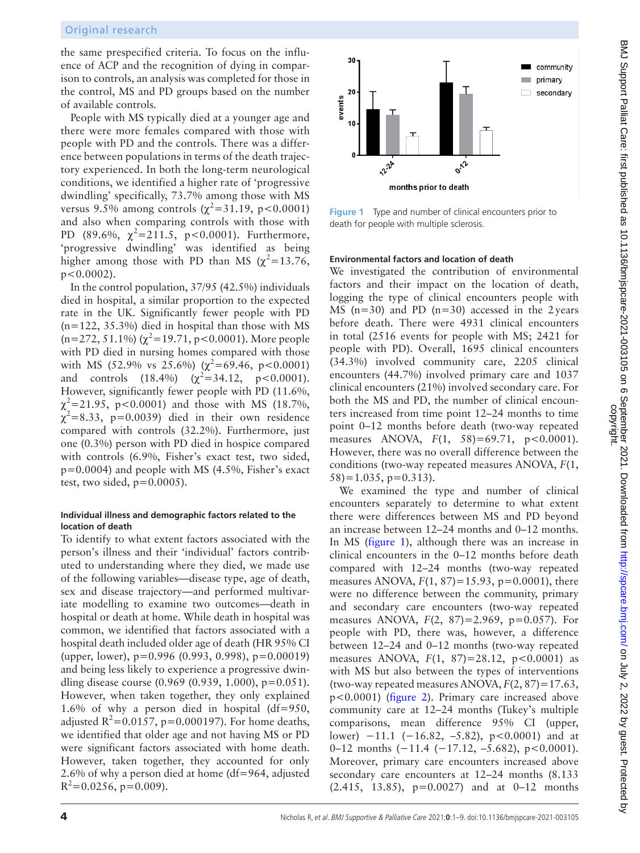the same prespecified criteria. To focus on the influence of ACP and the recognition of dying in comparison to controls, an analysis was completed for those in the control, MS and PD groups based on the number of available controls.

People with MS typically died at a younger age and there were more females compared with those with people with PD and the controls. There was a difference between populations in terms of the death trajectory experienced. In both the long-term neurological conditions, we identified a higher rate of 'progressive dwindling' specifically, 73.7% among those with MS versus 9.5% among controls ( $\chi^2$ =31.19, p<0.0001) and also when comparing controls with those with PD (89.6%,  $\chi^2$ =211.5, p<0.0001). Furthermore, 'progressive dwindling' was identified as being higher among those with PD than MS  $(\chi^2=13.76,$  $p < 0.0002$ ).

In the control population, 37/95 (42.5%) individuals died in hospital, a similar proportion to the expected rate in the UK. Significantly fewer people with PD (n=122, 35.3%) died in hospital than those with MS  $(n=272, 51.1\%) (\chi^2=19.71, p<0.0001)$ . More people with PD died in nursing homes compared with those with MS (52.9% vs 25.6%) ( $\chi^2$ =69.46, p<0.0001) and controls  $(18.4\%)$   $(\chi^2=34.12, \, p<0.0001).$ However, significantly fewer people with PD (11.6%,  $\chi^2$ =21.95, p<0.0001) and those with MS (18.7%,  $\chi^2$ =8.33, p=0.0039) died in their own residence compared with controls (32.2%). Furthermore, just one (0.3%) person with PD died in hospice compared with controls (6.9%, Fisher's exact test, two sided,  $p=0.0004$ ) and people with MS (4.5%, Fisher's exact test, two sided,  $p=0.0005$ ).

## **Individual illness and demographic factors related to the location of death**

To identify to what extent factors associated with the person's illness and their 'individual' factors contributed to understanding where they died, we made use of the following variables—disease type, age of death, sex and disease trajectory—and performed multivariate modelling to examine two outcomes—death in hospital or death at home. While death in hospital was common, we identified that factors associated with a hospital death included older age of death (HR 95% CI (upper, lower), p=0.996 (0.993, 0.998), p=0.00019) and being less likely to experience a progressive dwindling disease course (0.969 (0.939, 1.000), p=0.051). However, when taken together, they only explained 1.6% of why a person died in hospital (df=950, adjusted  $R^2 = 0.0157$ , p=0.000197). For home deaths, we identified that older age and not having MS or PD were significant factors associated with home death. However, taken together, they accounted for only 2.6% of why a person died at home (df=964, adjusted  $R^2$ =0.0256, p=0.009).



<span id="page-3-0"></span>**Figure 1** Type and number of clinical encounters prior to death for people with multiple sclerosis.

## **Environmental factors and location of death**

We investigated the contribution of environmental factors and their impact on the location of death, logging the type of clinical encounters people with MS ( $n=30$ ) and PD ( $n=30$ ) accessed in the 2years before death. There were 4931 clinical encounters in total (2516 events for people with MS; 2421 for people with PD). Overall, 1695 clinical encounters (34.3%) involved community care, 2205 clinical encounters (44.7%) involved primary care and 1037 clinical encounters (21%) involved secondary care. For both the MS and PD, the number of clinical encounters increased from time point 12–24 months to time point 0–12 months before death (two-way repeated measures ANOVA, *F*(1, 58)=69.71, p<0.0001). However, there was no overall difference between the conditions (two-way repeated measures ANOVA, *F*(1,  $58$ )=1.035, p=0.313).

We examined the type and number of clinical encounters separately to determine to what extent there were differences between MS and PD beyond an increase between 12–24 months and 0–12 months. In MS ([figure](#page-3-0) 1), although there was an increase in clinical encounters in the 0–12 months before death compared with 12–24 months (two-way repeated measures ANOVA, *F*(1, 87)=15.93, p=0.0001), there were no difference between the community, primary and secondary care encounters (two-way repeated measures ANOVA, *F*(2, 87)=2.969, p=0.057). For people with PD, there was, however, a difference between 12–24 and 0–12 months (two-way repeated measures ANOVA,  $F(1, 87) = 28.12$ ,  $p < 0.0001$ ) as with MS but also between the types of interventions (two-way repeated measures ANOVA,  $F(2, 87) = 17.63$ , p<0.0001) ([figure](#page-4-0) 2). Primary care increased above community care at 12–24 months (Tukey's multiple comparisons, mean difference 95% CI (upper, lower) −11.1 (−16.82, −5.82), p<0.0001) and at 0–12 months (−11.4 (−17.12, –5.682), p<0.0001). Moreover, primary care encounters increased above secondary care encounters at 12–24 months (8.133 (2.415, 13.85), p=0.0027) and at 0–12 months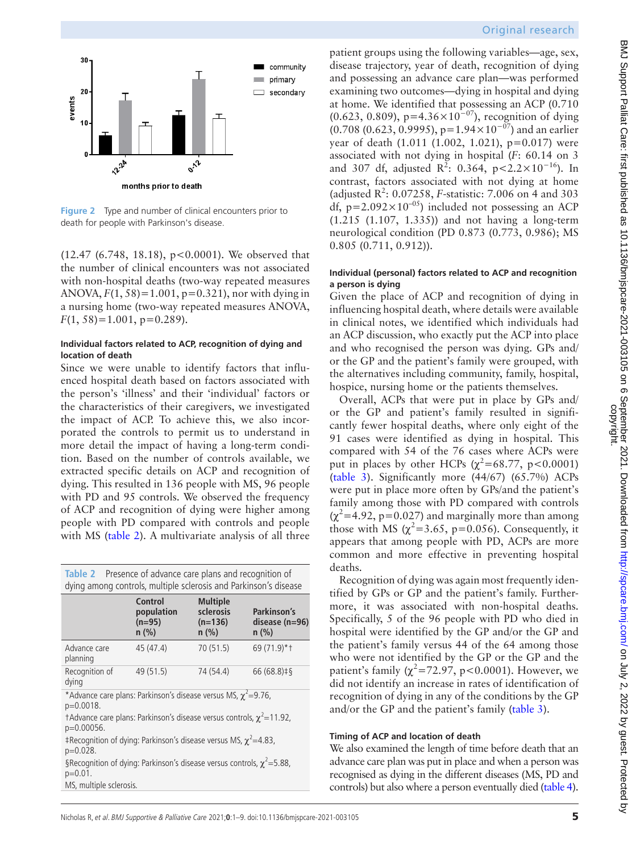

<span id="page-4-0"></span>**Figure 2** Type and number of clinical encounters prior to death for people with Parkinson's disease.

 $(12.47 \ (6.748, 18.18), p < 0.0001)$ . We observed that the number of clinical encounters was not associated with non-hospital deaths (two-way repeated measures ANOVA, *F*(1, 58)=1.001, p=0.321), nor with dying in a nursing home (two-way repeated measures ANOVA, *F*(1, 58)=1.001, p=0.289).

#### **Individual factors related to ACP, recognition of dying and location of death**

Since we were unable to identify factors that influenced hospital death based on factors associated with the person's 'illness' and their 'individual' factors or the characteristics of their caregivers, we investigated the impact of ACP. To achieve this, we also incorporated the controls to permit us to understand in more detail the impact of having a long-term condition. Based on the number of controls available, we extracted specific details on ACP and recognition of dying. This resulted in 136 people with MS, 96 people with PD and 95 controls. We observed the frequency of ACP and recognition of dying were higher among people with PD compared with controls and people with MS ([table](#page-4-1) 2). A multivariate analysis of all three

<span id="page-4-1"></span>

| Table 2 Presence of advance care plans and recognition of<br>dying among controls, multiple sclerosis and Parkinson's disease |                                                     |                                                      |                                            |  |  |  |  |
|-------------------------------------------------------------------------------------------------------------------------------|-----------------------------------------------------|------------------------------------------------------|--------------------------------------------|--|--|--|--|
|                                                                                                                               | <b>Control</b><br>population<br>$(n=95)$<br>$n$ (%) | <b>Multiple</b><br>sclerosis<br>$(n=136)$<br>$n$ (%) | Parkinson's<br>disease $(n=96)$<br>$n$ (%) |  |  |  |  |
| Advance care<br>planning                                                                                                      | 45 (47.4)                                           | 70 (51.5)                                            | 69 (71.9)*+                                |  |  |  |  |
| Recognition of<br>dying                                                                                                       | 49 (51.5)                                           | 74 (54.4)                                            | $66(68.8)$ <sup>‡§</sup>                   |  |  |  |  |
| *Advance care plans: Parkinson's disease versus MS, $\chi^2$ =9.76,<br>$p=0.0018$ .                                           |                                                     |                                                      |                                            |  |  |  |  |
| †Advance care plans: Parkinson's disease versus controls, $\chi^2$ = 11.92,<br>$p=0.00056$ .                                  |                                                     |                                                      |                                            |  |  |  |  |
| ‡Recognition of dying: Parkinson's disease versus MS, $\chi^2$ = 4.83,<br>$p=0.028$ .                                         |                                                     |                                                      |                                            |  |  |  |  |
| §Recognition of dying: Parkinson's disease versus controls, $\chi^2$ = 5.88,<br>$p=0.01$ .                                    |                                                     |                                                      |                                            |  |  |  |  |
| MS, multiple sclerosis.                                                                                                       |                                                     |                                                      |                                            |  |  |  |  |

## Original research

patient groups using the following variables—age, sex, disease trajectory, year of death, recognition of dying and possessing an advance care plan—was performed examining two outcomes—dying in hospital and dying at home. We identified that possessing an ACP (0.710 (0.623, 0.809), p=4.36×10<sup>-07</sup>), recognition of dying  $(0.708 (0.623, 0.9995), p=1.94\times10^{-07})$  and an earlier year of death (1.011 (1.002, 1.021), p=0.017) were associated with not dying in hospital (*F*: 60.14 on 3 and 307 df, adjusted  $R^2$ : 0.364, p<2.2×10<sup>-16</sup>). In contrast, factors associated with not dying at home (adjusted  $R^2$ : 0.07258, *F*-statistic: 7.006 on 4 and 303 df,  $p=2.092\times10^{-05}$ ) included not possessing an ACP (1.215 (1.107, 1.335)) and not having a long-term neurological condition (PD 0.873 (0.773, 0.986); MS 0.805 (0.711, 0.912)).

#### **Individual (personal) factors related to ACP and recognition a person is dying**

Given the place of ACP and recognition of dying in influencing hospital death, where details were available in clinical notes, we identified which individuals had an ACP discussion, who exactly put the ACP into place and who recognised the person was dying. GPs and/ or the GP and the patient's family were grouped, with the alternatives including community, family, hospital, hospice, nursing home or the patients themselves.

Overall, ACPs that were put in place by GPs and/ or the GP and patient's family resulted in significantly fewer hospital deaths, where only eight of the 91 cases were identified as dying in hospital. This compared with 54 of the 76 cases where ACPs were put in places by other HCPs ( $\chi^2$ =68.77, p<0.0001) [\(table](#page-5-0) 3). Significantly more (44/67) (65.7%) ACPs were put in place more often by GPs/and the patient's family among those with PD compared with controls  $(\chi^2=4.92, p=0.027)$  and marginally more than among those with MS  $(\chi^2 = 3.65, p = 0.056)$ . Consequently, it appears that among people with PD, ACPs are more common and more effective in preventing hospital deaths.

Recognition of dying was again most frequently identified by GPs or GP and the patient's family. Furthermore, it was associated with non-hospital deaths. Specifically, 5 of the 96 people with PD who died in hospital were identified by the GP and/or the GP and the patient's family versus 44 of the 64 among those who were not identified by the GP or the GP and the patient's family  $(\chi^2 = 72.97, p < 0.0001)$ . However, we did not identify an increase in rates of identification of recognition of dying in any of the conditions by the GP and/or the GP and the patient's family ([table](#page-5-0) 3).

#### **Timing of ACP and location of death**

We also examined the length of time before death that an advance care plan was put in place and when a person was recognised as dying in the different diseases (MS, PD and controls) but also where a person eventually died [\(table](#page-5-1) 4).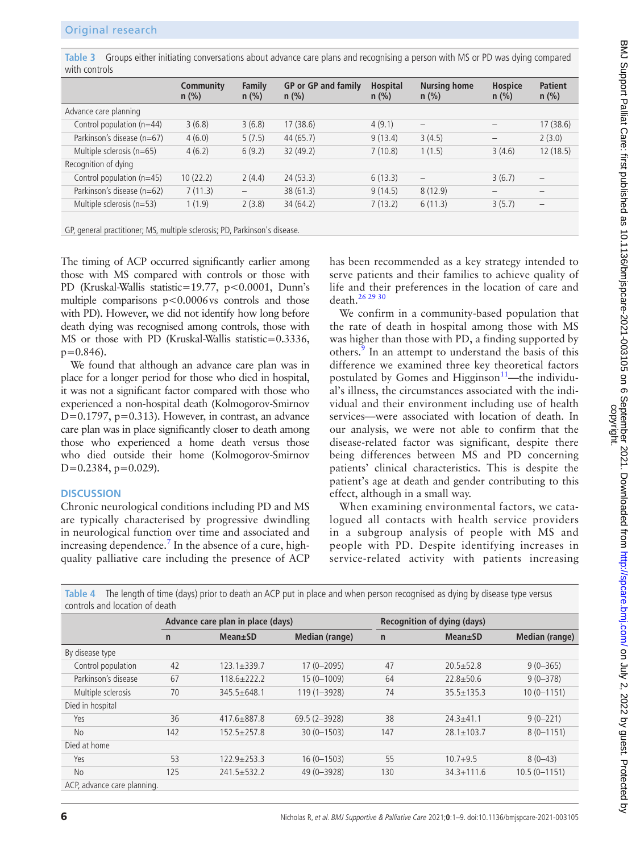<span id="page-5-0"></span>**Table 3** Groups either initiating conversations about advance care plans and recognising a person with MS or PD was dying compared with controls

|                            | Community<br>$n$ (%) | Family<br>$n$ (%) | <b>GP</b> or <b>GP</b> and family<br>$n$ (%) | <b>Hospital</b><br>$n$ (%) | <b>Nursing home</b><br>$n$ (%) | <b>Hospice</b><br>$n$ (%) | <b>Patient</b><br>$n$ (%) |
|----------------------------|----------------------|-------------------|----------------------------------------------|----------------------------|--------------------------------|---------------------------|---------------------------|
| Advance care planning      |                      |                   |                                              |                            |                                |                           |                           |
| Control population (n=44)  | 3(6.8)               | 3(6.8)            | 17(38.6)                                     | 4(9.1)                     |                                |                           | 17(38.6)                  |
| Parkinson's disease (n=67) | 4(6.0)               | 5(7.5)            | 44(65.7)                                     | 9(13.4)                    | 3(4.5)                         |                           | 2(3.0)                    |
| Multiple sclerosis (n=65)  | 4(6.2)               | 6(9.2)            | 32(49.2)                                     | 7(10.8)                    | 1(1.5)                         | 3(4.6)                    | 12(18.5)                  |
| Recognition of dying       |                      |                   |                                              |                            |                                |                           |                           |
| Control population (n=45)  | 10(22.2)             | 2(4.4)            | 24(53.3)                                     | 6(13.3)                    | $\overline{\phantom{0}}$       | 3(6.7)                    | $\overline{\phantom{0}}$  |
| Parkinson's disease (n=62) | 7(11.3)              |                   | 38(61.3)                                     | 9(14.5)                    | 8(12.9)                        |                           |                           |
| Multiple sclerosis (n=53)  | 1(1.9)               | 2(3.8)            | 34(64.2)                                     | 7(13.2)                    | 6(11.3)                        | 3(5.7)                    |                           |
|                            |                      |                   |                                              |                            |                                |                           |                           |

GP, general practitioner; MS, multiple sclerosis; PD, Parkinson's disease.

The timing of ACP occurred significantly earlier among those with MS compared with controls or those with PD (Kruskal-Wallis statistic=19.77, p<0.0001, Dunn's multiple comparisons  $p < 0.0006$  vs controls and those with PD). However, we did not identify how long before death dying was recognised among controls, those with MS or those with PD (Kruskal-Wallis statistic=0.3336,  $p=0.846$ ).

We found that although an advance care plan was in place for a longer period for those who died in hospital, it was not a significant factor compared with those who experienced a non-hospital death (Kolmogorov-Smirnov D=0.1797, p=0.313). However, in contrast, an advance care plan was in place significantly closer to death among those who experienced a home death versus those who died outside their home (Kolmogorov-Smirnov  $D=0.2384$ ,  $p=0.029$ ).

#### **DISCUSSION**

Chronic neurological conditions including PD and MS are typically characterised by progressive dwindling in neurological function over time and associated and increasing dependence.<sup>7</sup> In the absence of a cure, highquality palliative care including the presence of ACP

has been recommended as a key strategy intended to serve patients and their families to achieve quality of life and their preferences in the location of care and death[.26 29 30](#page-7-16)

We confirm in a community-based population that the rate of death in hospital among those with MS was higher than those with PD, a finding supported by others.<sup>[9](#page-7-5)</sup> In an attempt to understand the basis of this difference we examined three key theoretical factors postulated by Gomes and Higginson $11$ —the individual's illness, the circumstances associated with the individual and their environment including use of health services—were associated with location of death. In our analysis, we were not able to confirm that the disease-related factor was significant, despite there being differences between MS and PD concerning patients' clinical characteristics. This is despite the patient's age at death and gender contributing to this effect, although in a small way.

When examining environmental factors, we catalogued all contacts with health service providers in a subgroup analysis of people with MS and people with PD. Despite identifying increases in service-related activity with patients increasing

<span id="page-5-1"></span>**Table 4** The length of time (days) prior to death an ACP put in place and when person recognised as dying by disease type versus controls and location of death

|                             |              | Advance care plan in place (days) |                  |              | <b>Recognition of dying (days)</b> |                       |  |  |
|-----------------------------|--------------|-----------------------------------|------------------|--------------|------------------------------------|-----------------------|--|--|
|                             | $\mathsf{n}$ | $Mean \pm SD$                     | Median (range)   | $\mathsf{n}$ | $Mean \pm SD$                      | <b>Median (range)</b> |  |  |
| By disease type             |              |                                   |                  |              |                                    |                       |  |  |
| Control population          | 42           | $123.1 \pm 339.7$                 | $17(0 - 2095)$   | 47           | $20.5 \pm 52.8$                    | $9(0 - 365)$          |  |  |
| Parkinson's disease         | 67           | $118.6 + 222.2$                   | $15(0 - 1009)$   | 64           | $22.8 \pm 50.6$                    | $9(0 - 378)$          |  |  |
| Multiple sclerosis          | 70           | $345.5 + 648.1$                   | 119 (1-3928)     | 74           | $35.5 \pm 135.3$                   | $10(0 - 1151)$        |  |  |
| Died in hospital            |              |                                   |                  |              |                                    |                       |  |  |
| Yes                         | 36           | $417.6 + 887.8$                   | $69.5(2 - 3928)$ | 38           | $24.3 \pm 41.1$                    | $9(0 - 221)$          |  |  |
| <b>No</b>                   | 142          | $152.5 \pm 257.8$                 | $30(0 - 1503)$   | 147          | $28.1 \pm 103.7$                   | $8(0 - 1151)$         |  |  |
| Died at home                |              |                                   |                  |              |                                    |                       |  |  |
| Yes                         | 53           | $122.9 + 253.3$                   | $16(0 - 1503)$   | 55           | $10.7 + 9.5$                       | $8(0-43)$             |  |  |
| <b>No</b>                   | 125          | $241.5 \pm 532.2$                 | 49 (0-3928)      | 130          | $34.3 + 111.6$                     | $10.5(0 - 1151)$      |  |  |
| ACP, advance care planning. |              |                                   |                  |              |                                    |                       |  |  |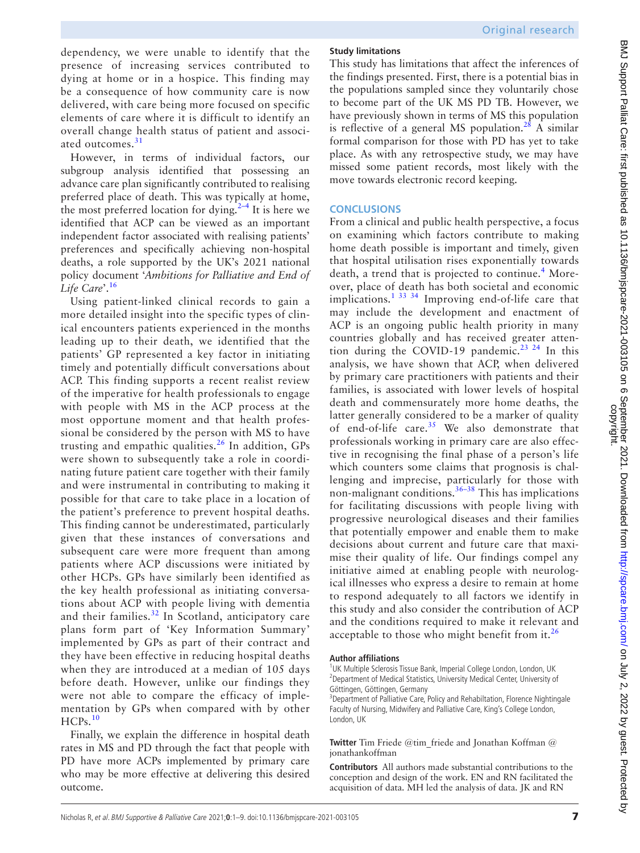dependency, we were unable to identify that the presence of increasing services contributed to dying at home or in a hospice. This finding may be a consequence of how community care is now delivered, with care being more focused on specific elements of care where it is difficult to identify an overall change health status of patient and associ-ated outcomes.<sup>[31](#page-7-20)</sup>

However, in terms of individual factors, our subgroup analysis identified that possessing an advance care plan significantly contributed to realising preferred place of death. This was typically at home, the most preferred location for dying. $2-4$  It is here we identified that ACP can be viewed as an important independent factor associated with realising patients' preferences and specifically achieving non-hospital deaths, a role supported by the UK's 2021 national policy document '*Ambitions for Palliative and End of Life Care*'.[16](#page-7-9)

Using patient-linked clinical records to gain a more detailed insight into the specific types of clinical encounters patients experienced in the months leading up to their death, we identified that the patients' GP represented a key factor in initiating timely and potentially difficult conversations about ACP. This finding supports a recent realist review of the imperative for health professionals to engage with people with MS in the ACP process at the most opportune moment and that health professional be considered by the person with MS to have trusting and empathic qualities.<sup>26</sup> In addition, GPs were shown to subsequently take a role in coordinating future patient care together with their family and were instrumental in contributing to making it possible for that care to take place in a location of the patient's preference to prevent hospital deaths. This finding cannot be underestimated, particularly given that these instances of conversations and subsequent care were more frequent than among patients where ACP discussions were initiated by other HCPs. GPs have similarly been identified as the key health professional as initiating conversations about ACP with people living with dementia and their families.<sup>[32](#page-7-22)</sup> In Scotland, anticipatory care plans form part of 'Key Information Summary' implemented by GPs as part of their contract and they have been effective in reducing hospital deaths when they are introduced at a median of 105 days before death. However, unlike our findings they were not able to compare the efficacy of implementation by GPs when compared with by other HCPs.<sup>[10](#page-7-23)</sup>

Finally, we explain the difference in hospital death rates in MS and PD through the fact that people with PD have more ACPs implemented by primary care who may be more effective at delivering this desired outcome.

## **Study limitations**

This study has limitations that affect the inferences of the findings presented. First, there is a potential bias in the populations sampled since they voluntarily chose to become part of the UK MS PD TB. However, we have previously shown in terms of MS this population is reflective of a general MS population.<sup>28</sup> A similar formal comparison for those with PD has yet to take place. As with any retrospective study, we may have missed some patient records, most likely with the move towards electronic record keeping.

## **CONCLUSIONS**

From a clinical and public health perspective, a focus on examining which factors contribute to making home death possible is important and timely, given that hospital utilisation rises exponentially towards death, a trend that is projected to continue.<sup>[4](#page-7-24)</sup> Moreover, place of death has both societal and economic implications.[1 33 34](#page-7-0) Improving end-of-life care that may include the development and enactment of ACP is an ongoing public health priority in many countries globally and has received greater atten-tion during the COVID-19 pandemic.<sup>[23 24](#page-7-15)</sup> In this analysis, we have shown that ACP, when delivered by primary care practitioners with patients and their families, is associated with lower levels of hospital death and commensurately more home deaths, the latter generally considered to be a marker of quality of end-of-life care.<sup>[35](#page-8-0)</sup> We also demonstrate that professionals working in primary care are also effective in recognising the final phase of a person's life which counters some claims that prognosis is challenging and imprecise, particularly for those with non-malignant conditions.<sup>[36–38](#page-8-1)</sup> This has implications for facilitating discussions with people living with progressive neurological diseases and their families that potentially empower and enable them to make decisions about current and future care that maximise their quality of life. Our findings compel any initiative aimed at enabling people with neurological illnesses who express a desire to remain at home to respond adequately to all factors we identify in this study and also consider the contribution of ACP and the conditions required to make it relevant and acceptable to those who might benefit from it. $^{26}$  $^{26}$  $^{26}$ 

#### **Author affiliations**

<sup>1</sup>UK Multiple Sclerosis Tissue Bank, Imperial College London, London, UK <sup>2</sup> Department of Medical Statistics, University Medical Center, University of Göttingen, Göttingen, Germany

<sup>3</sup>Department of Palliative Care, Policy and Rehabiltation, Florence Nightingale Faculty of Nursing, Midwifery and Palliative Care, King's College London, London, UK

**Twitter** Tim Friede [@tim\\_friede](https://twitter.com/tim_friede) and Jonathan Koffman [@](https://twitter.com/jonathankoffman) [jonathankoffman](https://twitter.com/jonathankoffman)

**Contributors** All authors made substantial contributions to the conception and design of the work. EN and RN facilitated the acquisition of data. MH led the analysis of data. JK and RN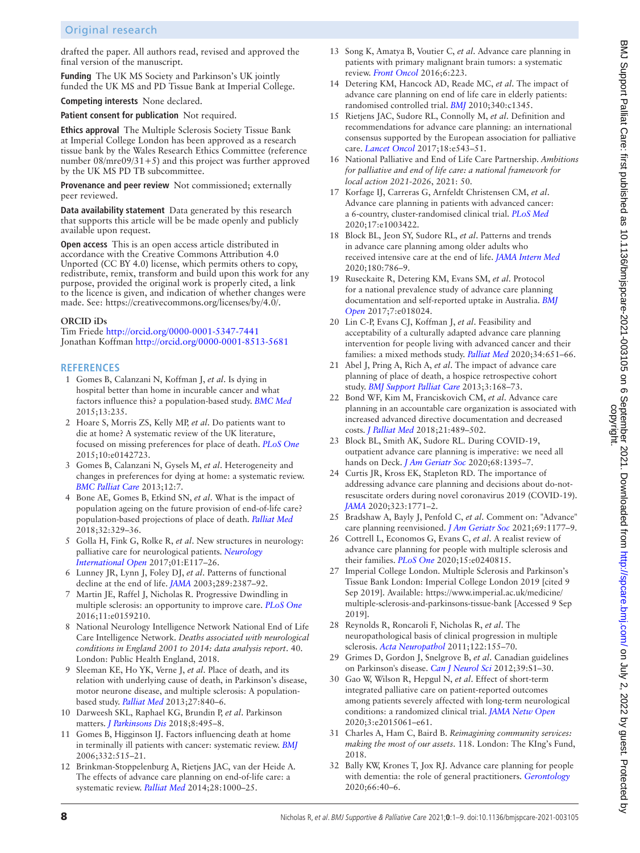## Original research

drafted the paper. All authors read, revised and approved the final version of the manuscript.

**Funding** The UK MS Society and Parkinson's UK jointly funded the UK MS and PD Tissue Bank at Imperial College.

**Competing interests** None declared.

**Patient consent for publication** Not required.

**Ethics approval** The Multiple Sclerosis Society Tissue Bank at Imperial College London has been approved as a research tissue bank by the Wales Research Ethics Committee (reference number 08/mre09/31+5) and this project was further approved by the UK MS PD TB subcommittee.

**Provenance and peer review** Not commissioned; externally peer reviewed.

**Data availability statement** Data generated by this research that supports this article will be be made openly and publicly available upon request.

**Open access** This is an open access article distributed in accordance with the Creative Commons Attribution 4.0 Unported (CC BY 4.0) license, which permits others to copy, redistribute, remix, transform and build upon this work for any purpose, provided the original work is properly cited, a link to the licence is given, and indication of whether changes were made. See: <https://creativecommons.org/licenses/by/4.0/>.

#### **ORCID iDs**

Tim Friede <http://orcid.org/0000-0001-5347-7441> Jonathan Koffman<http://orcid.org/0000-0001-8513-5681>

#### **REFERENCES**

- <span id="page-7-0"></span>1 Gomes B, Calanzani N, Koffman J, *et al*. Is dying in hospital better than home in incurable cancer and what factors influence this? a population-based study. *[BMC Med](http://dx.doi.org/10.1186/s12916-015-0466-5)* 2015;13:235.
- <span id="page-7-21"></span>2 Hoare S, Morris ZS, Kelly MP, *et al*. Do patients want to die at home? A systematic review of the UK literature, focused on missing preferences for place of death. *[PLoS One](http://dx.doi.org/10.1371/journal.pone.0142723)* 2015;10:e0142723.
- <span id="page-7-1"></span>3 Gomes B, Calanzani N, Gysels M, *et al*. Heterogeneity and changes in preferences for dying at home: a systematic review. *[BMC Palliat Care](http://dx.doi.org/10.1186/1472-684X-12-7)* 2013;12:7.
- <span id="page-7-24"></span>4 Bone AE, Gomes B, Etkind SN, *et al*. What is the impact of population ageing on the future provision of end-of-life care? population-based projections of place of death. *[Palliat Med](http://dx.doi.org/10.1177/0269216317734435)* 2018;32:329–36.
- <span id="page-7-2"></span>5 Golla H, Fink G, Rolke R, *et al*. New structures in neurology: palliative care for neurological patients. *[Neurology](http://dx.doi.org/10.1055/s-0043-108438)  [International Open](http://dx.doi.org/10.1055/s-0043-108438)* 2017;01:E117–26.
- <span id="page-7-3"></span>6 Lunney JR, Lynn J, Foley DJ, *et al*. Patterns of functional decline at the end of life. *[JAMA](http://dx.doi.org/10.1001/jama.289.18.2387)* 2003;289:2387–92.
- <span id="page-7-19"></span>7 Martin JE, Raffel J, Nicholas R. Progressive Dwindling in multiple sclerosis: an opportunity to improve care. *[PLoS One](http://dx.doi.org/10.1371/journal.pone.0159210)* 2016;11:e0159210.
- <span id="page-7-4"></span>8 National Neurology Intelligence Network National End of Life Care Intelligence Network. *Deaths associated with neurological conditions in England 2001 to 2014: data analysis report*. 40. London: Public Health England, 2018.
- <span id="page-7-5"></span>9 Sleeman KE, Ho YK, Verne J, *et al*. Place of death, and its relation with underlying cause of death, in Parkinson's disease, motor neurone disease, and multiple sclerosis: A populationbased study. *[Palliat Med](http://dx.doi.org/10.1177/0269216313490436)* 2013;27:840–6.
- <span id="page-7-23"></span>10 Darweesh SKL, Raphael KG, Brundin P, *et al*. Parkinson matters. *[J Parkinsons Dis](http://dx.doi.org/10.3233/JPD-181374)* 2018;8:495–8.
- <span id="page-7-6"></span>11 Gomes B, Higginson IJ. Factors influencing death at home in terminally ill patients with cancer: systematic review. *[BMJ](http://dx.doi.org/10.1136/bmj.38740.614954.55)* 2006;332:515–21.
- <span id="page-7-7"></span>12 Brinkman-Stoppelenburg A, Rietjens JAC, van der Heide A. The effects of advance care planning on end-of-life care: a systematic review. *[Palliat Med](http://dx.doi.org/10.1177/0269216314526272)* 2014;28:1000–25.
- 13 Song K, Amatya B, Voutier C, *et al*. Advance care planning in patients with primary malignant brain tumors: a systematic review. *[Front Oncol](http://dx.doi.org/10.3389/fonc.2016.00223)* 2016;6:223.
- 14 Detering KM, Hancock AD, Reade MC, *et al*. The impact of advance care planning on end of life care in elderly patients: randomised controlled trial. *[BMJ](http://dx.doi.org/10.1136/bmj.c1345)* 2010;340:c1345.
- <span id="page-7-8"></span>15 Rietjens JAC, Sudore RL, Connolly M, *et al*. Definition and recommendations for advance care planning: an international consensus supported by the European association for palliative care. *[Lancet Oncol](http://dx.doi.org/10.1016/S1470-2045(17)30582-X)* 2017;18:e543–51.
- <span id="page-7-9"></span>16 National Palliative and End of Life Care Partnership. *Ambitions for palliative and end of life care: a national framework for local action 2021-2026*, 2021: 50.
- <span id="page-7-10"></span>17 Korfage IJ, Carreras G, Arnfeldt Christensen CM, *et al*. Advance care planning in patients with advanced cancer: a 6-country, cluster-randomised clinical trial. *[PLoS Med](http://dx.doi.org/10.1371/journal.pmed.1003422)* 2020;17:e1003422.
- <span id="page-7-11"></span>18 Block BL, Jeon SY, Sudore RL, *et al*. Patterns and trends in advance care planning among older adults who received intensive care at the end of life. *[JAMA Intern Med](http://dx.doi.org/10.1001/jamainternmed.2019.7535)* 2020;180:786–9.
- <span id="page-7-12"></span>19 Ruseckaite R, Detering KM, Evans SM, *et al*. Protocol for a national prevalence study of advance care planning documentation and self-reported uptake in Australia. *[BMJ](http://dx.doi.org/10.1136/bmjopen-2017-018024)  [Open](http://dx.doi.org/10.1136/bmjopen-2017-018024)* 2017;7:e018024.
- <span id="page-7-13"></span>20 Lin C-P, Evans CJ, Koffman J, *et al*. Feasibility and acceptability of a culturally adapted advance care planning intervention for people living with advanced cancer and their families: a mixed methods study. *[Palliat Med](http://dx.doi.org/10.1177/0269216320902666)* 2020;34:651–66.
- <span id="page-7-14"></span>21 Abel J, Pring A, Rich A, *et al*. The impact of advance care planning of place of death, a hospice retrospective cohort study. *[BMJ Support Palliat Care](http://dx.doi.org/10.1136/bmjspcare-2012-000327)* 2013;3:168–73.
- 22 Bond WF, Kim M, Franciskovich CM, *et al*. Advance care planning in an accountable care organization is associated with increased advanced directive documentation and decreased costs. *[J Palliat Med](http://dx.doi.org/10.1089/jpm.2017.0566)* 2018;21:489–502.
- <span id="page-7-15"></span>23 Block BL, Smith AK, Sudore RL. During COVID-19, outpatient advance care planning is imperative: we need all hands on Deck. *[J Am Geriatr Soc](http://dx.doi.org/10.1111/jgs.16532)* 2020;68:1395–7.
- 24 Curtis JR, Kross EK, Stapleton RD. The importance of addressing advance care planning and decisions about do-notresuscitate orders during novel coronavirus 2019 (COVID-19). *[JAMA](http://dx.doi.org/10.1001/jama.2020.4894)* 2020;323:1771–2.
- 25 Bradshaw A, Bayly J, Penfold C, *et al*. Comment on: "Advance" care planning reenvisioned. *[J Am Geriatr Soc](http://dx.doi.org/10.1111/jgs.17058)* 2021;69:1177–9.
- <span id="page-7-16"></span>26 Cottrell L, Economos G, Evans C, *et al*. A realist review of advance care planning for people with multiple sclerosis and their families. *[PLoS One](http://dx.doi.org/10.1371/journal.pone.0240815)* 2020;15:e0240815.
- <span id="page-7-17"></span>27 Imperial College London. Multiple Sclerosis and Parkinson's Tissue Bank London: Imperial College London 2019 [cited 9 Sep 2019]. Available: [https://www.imperial.ac.uk/medicine/](https://www.imperial.ac.uk/medicine/multiple-sclerosis-and-parkinsons-tissue-bank) [multiple-sclerosis-and-parkinsons-tissue-bank](https://www.imperial.ac.uk/medicine/multiple-sclerosis-and-parkinsons-tissue-bank) [Accessed 9 Sep 2019].
- <span id="page-7-18"></span>28 Reynolds R, Roncaroli F, Nicholas R, *et al*. The neuropathological basis of clinical progression in multiple sclerosis. *[Acta Neuropathol](http://dx.doi.org/10.1007/s00401-011-0840-0)* 2011;122:155–70.
- 29 Grimes D, Gordon J, Snelgrove B, *et al*. Canadian guidelines on Parkinson's disease. *[Can J Neurol Sci](http://dx.doi.org/10.1017/s031716710001516x)* 2012;39:S1–30.
- 30 Gao W, Wilson R, Hepgul N, *et al*. Effect of short-term integrated palliative care on patient-reported outcomes among patients severely affected with long-term neurological conditions: a randomized clinical trial. *[JAMA Netw Open](http://dx.doi.org/10.1001/jamanetworkopen.2020.15061)* 2020;3:e2015061–e61.
- <span id="page-7-20"></span>31 Charles A, Ham C, Baird B. *Reimagining community services: making the most of our assets*. 118. London: The KIng's Fund, 2018.
- <span id="page-7-22"></span>32 Bally KW, Krones T, Jox RJ. Advance care planning for people with dementia: the role of general practitioners. *[Gerontology](http://dx.doi.org/10.1159/000500809)* 2020;66:40–6.